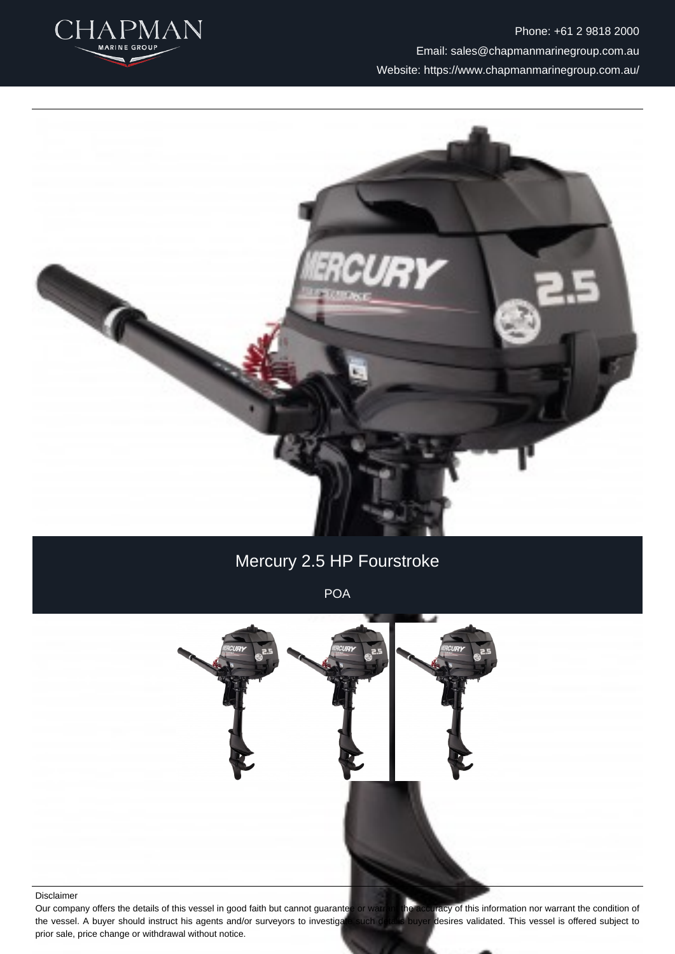

Phone: +61 2 9818 2000 Email: sales@chapmanmarinegroup.com.au Website: https://www.chapmanmarinegroup.com.au/



# Mercury 2.5 HP Fourstroke

POA



#### Disclaimer

Our company offers the details of this vessel in good faith but cannot guarantee or watrant the accuracy of this information nor warrant the condition of the vessel. A buyer should instruct his agents and/or surveyors to investigate such details buyer desires validated. This vessel is offered subject to prior sale, price change or withdrawal without notice.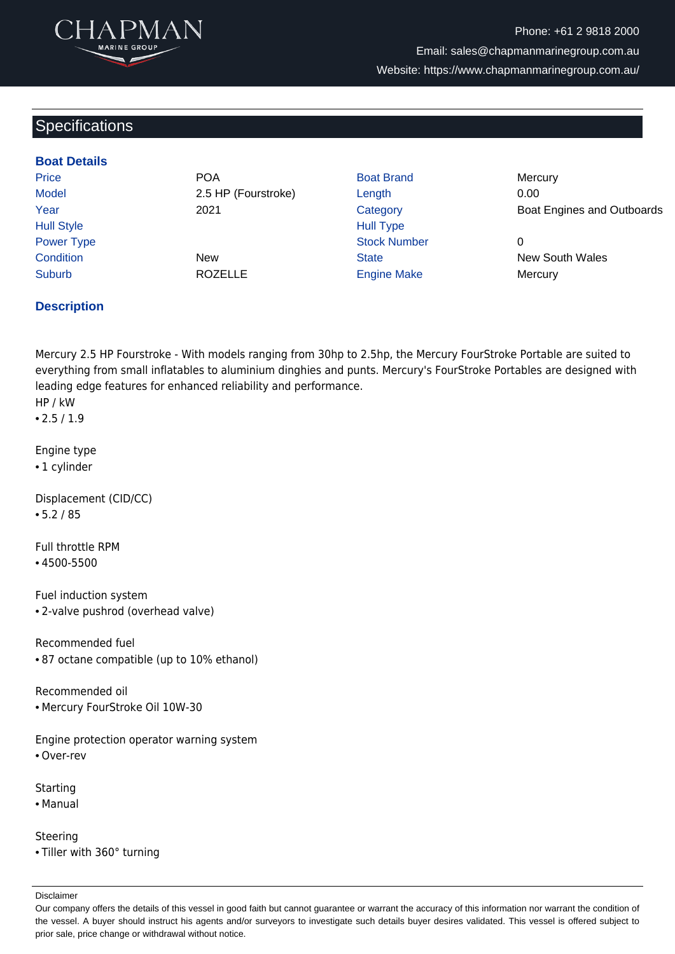

Phone: +61 2 9818 2000 Email: sales@chapmanmarinegroup.com.au Website: https://www.chapmanmarinegroup.com.au/

## **Specifications**

#### **Boat Details**

Price **POA** Boat Brand Mercury Model 2.5 HP (Fourstroke) Length 0.00 Hull Style **Hull Type** Power Type **Stock Number** 0 **Condition** New New State State New South Wales

Suburb **Engine Make** Mercury ROZELLE **Engine Make** Mercury

Year 2021 Category Boat Engines and Outboards

Ξ

#### **Description**

Mercury 2.5 HP Fourstroke - With models ranging from 30hp to 2.5hp, the Mercury FourStroke Portable are suited to everything from small inflatables to aluminium dinghies and punts. Mercury's FourStroke Portables are designed with leading edge features for enhanced reliability and performance. HP / kW

• 2.5 / 1.9

Engine type

• 1 cylinder

Displacement (CID/CC) • 5.2 / 85

Full throttle RPM • 4500-5500

Fuel induction system • 2-valve pushrod (overhead valve)

Recommended fuel

• 87 octane compatible (up to 10% ethanol)

Recommended oil • Mercury FourStroke Oil 10W-30

Engine protection operator warning system • Over-rev

- 
- **Starting**
- Manual

Steering • Tiller with 360° turning

Disclaimer

Our company offers the details of this vessel in good faith but cannot guarantee or warrant the accuracy of this information nor warrant the condition of the vessel. A buyer should instruct his agents and/or surveyors to investigate such details buyer desires validated. This vessel is offered subject to prior sale, price change or withdrawal without notice.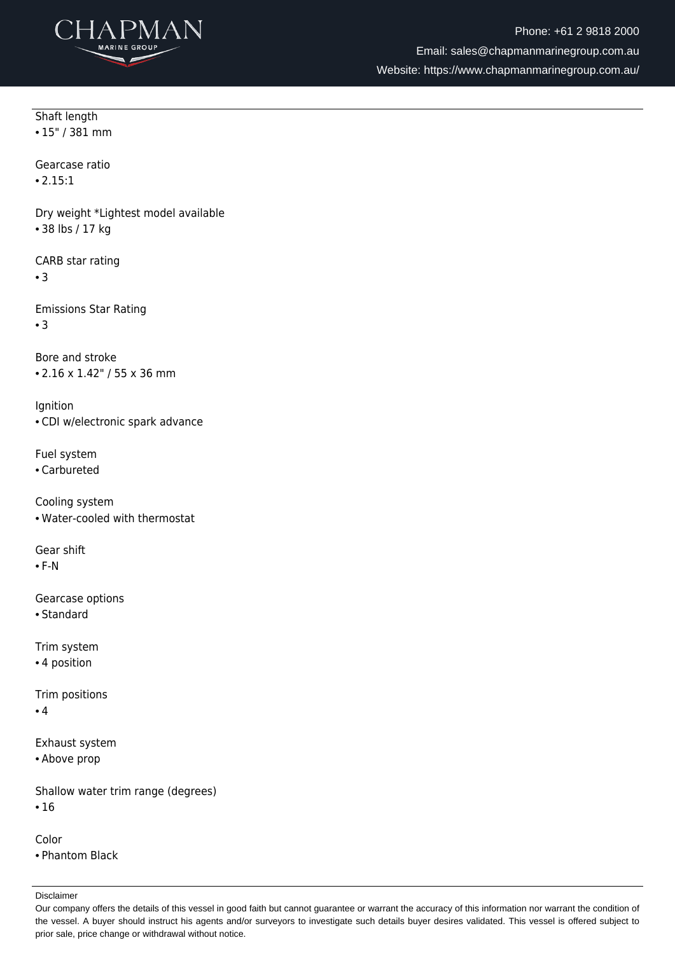

Ξ

Shaft length • 15" / 381 mm

Gearcase ratio

• 2.15:1

Dry weight \*Lightest model available • 38 lbs / 17 kg

CARB star rating

• 3

Emissions Star Rating • 3

Bore and stroke • 2.16 x 1.42" / 55 x 36 mm

**Ignition** • CDI w/electronic spark advance

Fuel system

• Carbureted

Cooling system • Water-cooled with thermostat

Gear shift

• F-N

Gearcase options

• Standard

Trim system

• 4 position

Trim positions • 4

Exhaust system

• Above prop

Shallow water trim range (degrees) • 16

Color

• Phantom Black

Disclaimer

Our company offers the details of this vessel in good faith but cannot guarantee or warrant the accuracy of this information nor warrant the condition of the vessel. A buyer should instruct his agents and/or surveyors to investigate such details buyer desires validated. This vessel is offered subject to prior sale, price change or withdrawal without notice.